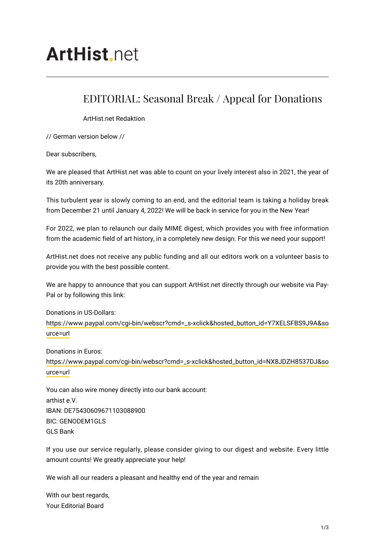## **ArtHist**, net

## EDITORIAL: Seasonal Break / Appeal for Donations

ArtHist.net Redaktion

// German version below //

Dear subscribers,

We are pleased that ArtHist.net was able to count on your lively interest also in 2021, the year of its 20th anniversary.

This turbulent year is slowly coming to an end, and the editorial team is taking a holiday break from December 21 until January 4, 2022! We will be back in service for you in the New Year!

For 2022, we plan to relaunch our daily MIME digest, which provides you with free information from the academic field of art history, in a completely new design. For this we need your support!

ArtHist.net does not receive any public funding and all our editors work on a volunteer basis to provide you with the best possible content.

We are happy to announce that you can support ArtHist.net directly through our website via Pay-Pal or by following this link:

Donations in US-Dollars: [https://www.paypal.com/cgi-bin/webscr?cmd=\\_s-xclick&hosted\\_button\\_id=Y7XELSFBS9J9A&so](https://www.paypal.com/cgi-bin/webscr?cmd=_s-xclick&hosted_button_id=Y7XELSFBS9J9A&source=url) [urce=url](https://www.paypal.com/cgi-bin/webscr?cmd=_s-xclick&hosted_button_id=Y7XELSFBS9J9A&source=url)

Donations in Euros:

[https://www.paypal.com/cgi-bin/webscr?cmd=\\_s-xclick&hosted\\_button\\_id=NX8JDZH8537DJ&so](https://www.paypal.com/cgi-bin/webscr?cmd=_s-xclick&hosted_button_id=NX8JDZH8537DJ&source=url) [urce=url](https://www.paypal.com/cgi-bin/webscr?cmd=_s-xclick&hosted_button_id=NX8JDZH8537DJ&source=url)

You can also wire money directly into our bank account: arthist e.V. IBAN: DE75430609671103088900 BIC: GENODEM1GLS GLS Bank

If you use our service regularly, please consider giving to our digest and website. Every little amount counts! We greatly appreciate your help!

We wish all our readers a pleasant and healthy end of the year and remain

With our best regards, Your Editorial Board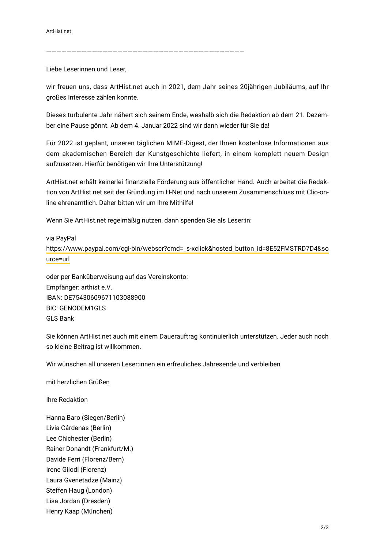———————————————————————————————————————

Liebe Leserinnen und Leser,

wir freuen uns, dass ArtHist.net auch in 2021, dem Jahr seines 20jährigen Jubiläums, auf Ihr großes Interesse zählen konnte.

Dieses turbulente Jahr nähert sich seinem Ende, weshalb sich die Redaktion ab dem 21. Dezember eine Pause gönnt. Ab dem 4. Januar 2022 sind wir dann wieder für Sie da!

Für 2022 ist geplant, unseren täglichen MIME-Digest, der Ihnen kostenlose Informationen aus dem akademischen Bereich der Kunstgeschichte liefert, in einem komplett neuem Design aufzusetzen. Hierfür benötigen wir Ihre Unterstützung!

ArtHist.net erhält keinerlei finanzielle Förderung aus öffentlicher Hand. Auch arbeitet die Redaktion von ArtHist.net seit der Gründung im H-Net und nach unserem Zusammenschluss mit Clio-online ehrenamtlich. Daher bitten wir um Ihre Mithilfe!

Wenn Sie ArtHist.net regelmäßig nutzen, dann spenden Sie als Leser:in:

via PayPal [https://www.paypal.com/cgi-bin/webscr?cmd=\\_s-xclick&hosted\\_button\\_id=8E52FMSTRD7D4&so](https://www.paypal.com/cgi-bin/webscr?cmd=_s-xclick&hosted_button_id=8E52FMSTRD7D4&source=url) [urce=url](https://www.paypal.com/cgi-bin/webscr?cmd=_s-xclick&hosted_button_id=8E52FMSTRD7D4&source=url)

oder per Banküberweisung auf das Vereinskonto: Empfänger: arthist e.V. IBAN: DE75430609671103088900 BIC: GENODEM1GLS GLS Bank

Sie können ArtHist.net auch mit einem Dauerauftrag kontinuierlich unterstützen. Jeder auch noch so kleine Beitrag ist willkommen.

Wir wünschen all unseren Leser:innen ein erfreuliches Jahresende und verbleiben

mit herzlichen Grüßen

Ihre Redaktion

Hanna Baro (Siegen/Berlin) Livia Cárdenas (Berlin) Lee Chichester (Berlin) Rainer Donandt (Frankfurt/M.) Davide Ferri (Florenz/Bern) Irene Gilodi (Florenz) Laura Gvenetadze (Mainz) Steffen Haug (London) Lisa Jordan (Dresden) Henry Kaap (München)